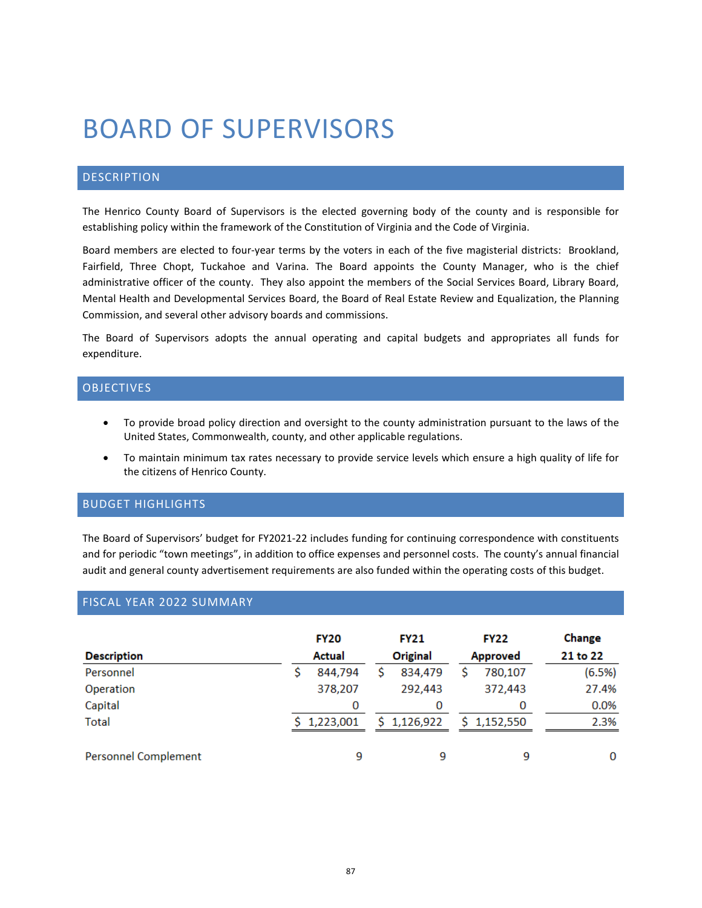# BOARD OF SUPERVISORS

## DESCRIPTION

The Henrico County Board of Supervisors is the elected governing body of the county and is responsible for establishing policy within the framework of the Constitution of Virginia and the Code of Virginia.

Board members are elected to four-year terms by the voters in each of the five magisterial districts: Brookland, Fairfield, Three Chopt, Tuckahoe and Varina. The Board appoints the County Manager, who is the chief administrative officer of the county. They also appoint the members of the Social Services Board, Library Board, Mental Health and Developmental Services Board, the Board of Real Estate Review and Equalization, the Planning Commission, and several other advisory boards and commissions.

The Board of Supervisors adopts the annual operating and capital budgets and appropriates all funds for expenditure.

#### OBJECTIVES

- To provide broad policy direction and oversight to the county administration pursuant to the laws of the United States, Commonwealth, county, and other applicable regulations.
- To maintain minimum tax rates necessary to provide service levels which ensure a high quality of life for the citizens of Henrico County.

## BUDGET HIGHLIGHTS

The Board of Supervisors' budget for FY2021-22 includes funding for continuing correspondence with constituents and for periodic "town meetings", in addition to office expenses and personnel costs. The county's annual financial audit and general county advertisement requirements are also funded within the operating costs of this budget.

## FISCAL YEAR 2022 SUMMARY

|                             | <b>FY20</b>   |  | <b>FY21</b> |                 | <b>FY22</b> | Change   |
|-----------------------------|---------------|--|-------------|-----------------|-------------|----------|
| <b>Description</b>          | <b>Actual</b> |  | Original    | <b>Approved</b> |             | 21 to 22 |
| Personnel                   | 844,794       |  | 834,479     |                 | 780,107     | (6.5%)   |
| Operation                   | 378,207       |  | 292,443     |                 | 372,443     | 27.4%    |
| Capital                     | 0             |  | 0           |                 | 0           | 0.0%     |
| <b>Total</b>                | \$1,223,001   |  | \$1,126,922 |                 | \$1,152,550 | 2.3%     |
| <b>Personnel Complement</b> | 9             |  | 9           |                 | 9           | 0        |